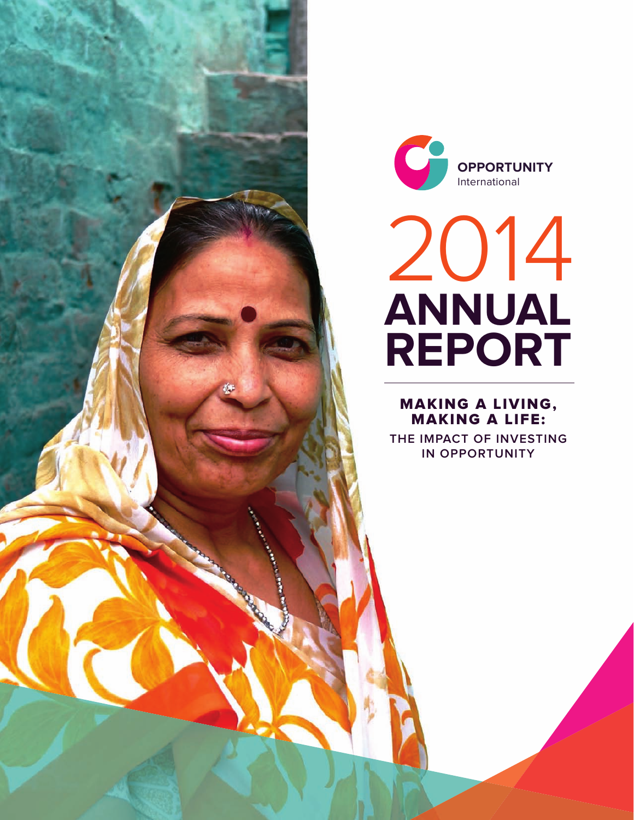



# 2014 **ANNUAL REPORT**

## MAKING A LIVING, MAKING A LIFE:

**THE IMPACT OF INVESTING IN OPPORTUNITY**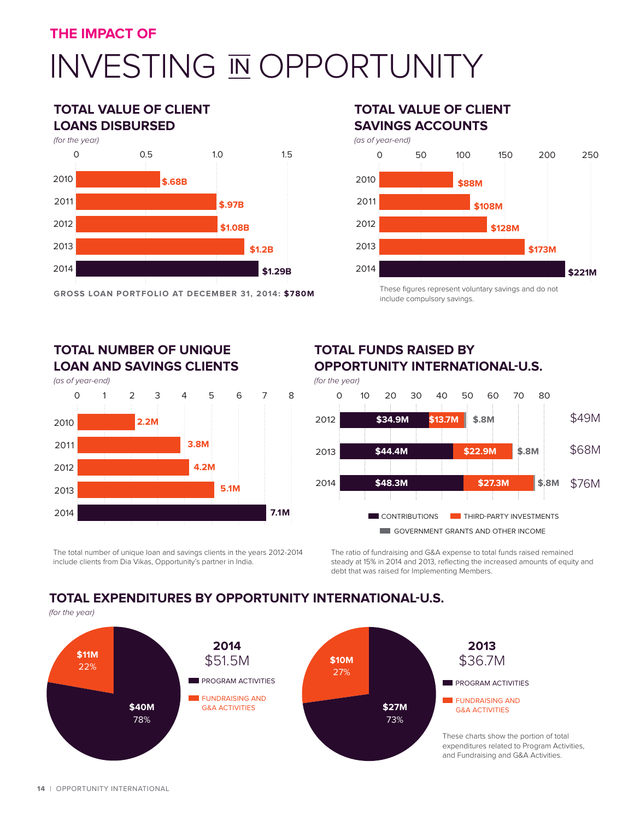## INVESTING IN OPPORTUNITY

## **TOTAL VALUE OF CLIENT LOANS DISBURSED**



**GROSS LOAN PORTFOLIO AT DECEMBER 31, 2014: \$780M**

## **TOTAL VALUE OF CLIENT SAVINGS ACCOUNTS**



include compulsory savings.

## **TOTAL NUMBER OF UNIQUE LOAN AND SAVINGS CLIENTS**

(as of year-end)



The total number of unique loan and savings clients in the years 2012-2014 include clients from Dia Vikas, Opportunity's partner in India.

## **TOTAL FUNDS RAISED BY OPPORTUNITY INTERNATIONAL-U.S.** (for the year)



The ratio of fundraising and G&A expense to total funds raised remained steady at 15% in 2014 and 2013, reflecting the increased amounts of equity and debt that was raised for Implementing Members.

## **TOTAL EXPENDITURES BY OPPORTUNITY INTERNATIONAL-U.S.**

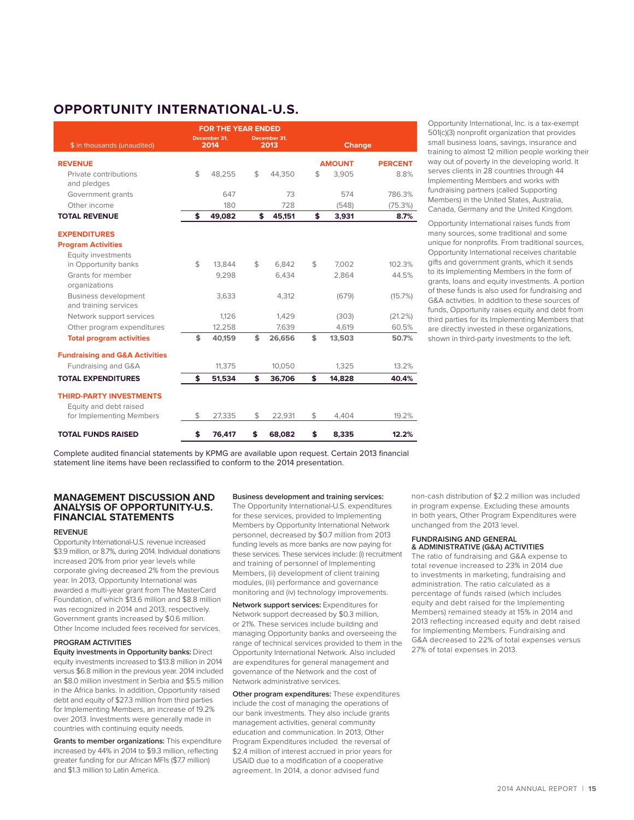## **OPPORTUNITY INTERNATIONAL-U.S.**

| <b>FOR THE YEAR ENDED</b>                            |    |                      |    |                      |               |               |                |  |  |  |  |  |
|------------------------------------------------------|----|----------------------|----|----------------------|---------------|---------------|----------------|--|--|--|--|--|
| \$ in thousands (unaudited)                          |    | December 31.<br>2014 |    | December 31.<br>2013 | <b>Change</b> |               |                |  |  |  |  |  |
| <b>REVENUE</b>                                       |    |                      |    |                      |               | <b>AMOUNT</b> | <b>PERCENT</b> |  |  |  |  |  |
| Private contributions<br>and pledges                 | \$ | 48.255               | \$ | 44,350               | \$            | 3,905         | 8.8%           |  |  |  |  |  |
| Government grants                                    |    | 647                  |    | 73                   |               | 574           | 786.3%         |  |  |  |  |  |
| Other income                                         |    | 180                  |    | 728                  |               | (548)         | (75.3%)        |  |  |  |  |  |
| <b>TOTAL REVENUE</b>                                 | \$ | 49,082               | \$ | 45,151               | \$            | 3,931         | 8.7%           |  |  |  |  |  |
| <b>EXPENDITURES</b>                                  |    |                      |    |                      |               |               |                |  |  |  |  |  |
| <b>Program Activities</b>                            |    |                      |    |                      |               |               |                |  |  |  |  |  |
| Equity investments                                   |    |                      |    |                      |               |               |                |  |  |  |  |  |
| in Opportunity banks                                 | \$ | 13.844               | \$ | 6.842                | \$            | 7.002         | 102.3%         |  |  |  |  |  |
| Grants for member<br>organizations                   |    | 9.298                |    | 6.434                |               | 2.864         | 44.5%          |  |  |  |  |  |
| <b>Business development</b><br>and training services |    | 3.633                |    | 4,312                |               | (679)         | (15.7%)        |  |  |  |  |  |
| Network support services                             |    | 1.126                |    | 1.429                |               | (303)         | (21.2%)        |  |  |  |  |  |
| Other program expenditures                           |    | 12.258               |    | 7.639                |               | 4.619         | 60.5%          |  |  |  |  |  |
| <b>Total program activities</b>                      | \$ | 40.159               | \$ | 26,656               | \$            | 13,503        | 50.7%          |  |  |  |  |  |
| <b>Fundraising and G&amp;A Activities</b>            |    |                      |    |                      |               |               |                |  |  |  |  |  |
| Fundraising and G&A                                  |    | 11,375               |    | 10,050               |               | 1,325         | 13.2%          |  |  |  |  |  |
| <b>TOTAL EXPENDITURES</b>                            | \$ | 51,534               | \$ | 36,706               | \$            | 14,828        | 40.4%          |  |  |  |  |  |
| <b>THIRD-PARTY INVESTMENTS</b>                       |    |                      |    |                      |               |               |                |  |  |  |  |  |
| Equity and debt raised<br>for Implementing Members   | \$ | 27,335               | \$ | 22,931               | \$            | 4,404         | 19.2%          |  |  |  |  |  |
| <b>TOTAL FUNDS RAISED</b>                            | \$ | 76.417               | \$ | 68.082               | \$            | 8.335         | 12.2%          |  |  |  |  |  |

Opportunity International, Inc. is a tax-exempt 501(c)(3) nonprofit organization that provides small business loans, savings, insurance and training to almost 12 million people working their way out of poverty in the developing world. It serves clients in 28 countries through 44 Implementing Members and works with fundraising partners (called Supporting Members) in the United States, Australia, Canada, Germany and the United Kingdom.

Opportunity International raises funds from many sources, some traditional and some unique for nonprofits. From traditional sources, Opportunity International receives charitable gifts and government grants, which it sends to its Implementing Members in the form of grants, loans and equity investments. A portion of these funds is also used for fundraising and G&A activities. In addition to these sources of funds, Opportunity raises equity and debt from third parties for its Implementing Members that are directly invested in these organizations, shown in third-party investments to the left.

Complete audited financial statements by KPMG are available upon request. Certain 2013 financial statement line items have been reclassified to conform to the 2014 presentation.

#### **MANAGEMENT DISCUSSION AND ANALYSIS OF OPPORTUNITY-U.S. FINANCIAL STATEMENTS**

#### **REVENUE**

Opportunity International-U.S. revenue increased \$3.9 million, or 8.7%, during 2014. Individual donations increased 20% from prior year levels while corporate giving decreased 2% from the previous year. In 2013, Opportunity International was awarded a multi-year grant from The MasterCard Foundation, of which \$13.6 million and \$8.8 million was recognized in 2014 and 2013, respectively. Government grants increased by \$0.6 million. Other Income included fees received for services.

#### **PROGRAM ACTIVITIES**

**Equity investments in Opportunity banks:** Direct equity investments increased to \$13.8 million in 2014 versus \$6.8 million in the previous year. 2014 included an \$8.0 million investment in Serbia and \$5.5 million in the Africa banks. In addition, Opportunity raised debt and equity of \$27.3 million from third parties for Implementing Members, an increase of 19.2% over 2013. Investments were generally made in countries with continuing equity needs.

**Grants to member organizations:** This expenditure increased by 44% in 2014 to \$9.3 million, reflecting greater funding for our African MFIs (\$7.7 million) and \$1.3 million to Latin America.

**Business development and training services:** 

The Opportunity International-U.S. expenditures for these services, provided to Implementing Members by Opportunity International Network personnel, decreased by \$0.7 million from 2013 funding levels as more banks are now paying for these services. These services include: (i) recruitment and training of personnel of Implementing Members, (ii) development of client training modules, (iii) performance and governance monitoring and (iv) technology improvements.

**Network support services:** Expenditures for Network support decreased by \$0.3 million, or 21%. These services include building and managing Opportunity banks and overseeing the range of technical services provided to them in the Opportunity International Network. Also included are expenditures for general management and governance of the Network and the cost of Network administrative services.

**Other program expenditures:** These expenditures include the cost of managing the operations of our bank investments. They also include grants management activities, general community education and communication. In 2013, Other Program Expenditures included the reversal of \$2.4 million of interest accrued in prior years for USAID due to a modification of a cooperative agreement. In 2014, a donor advised fund

non-cash distribution of \$2.2 million was included in program expense. Excluding these amounts in both years, Other Program Expenditures were unchanged from the 2013 level.

#### **FUNDRAISING AND GENERAL & ADMINISTRATIVE (G&A) ACTIVITIES**

The ratio of fundraising and G&A expense to total revenue increased to 23% in 2014 due to investments in marketing, fundraising and administration. The ratio calculated as a percentage of funds raised (which includes equity and debt raised for the Implementing Members) remained steady at 15% in 2014 and 2013 reflecting increased equity and debt raised for Implementing Members. Fundraising and G&A decreased to 22% of total expenses versus 27% of total expenses in 2013.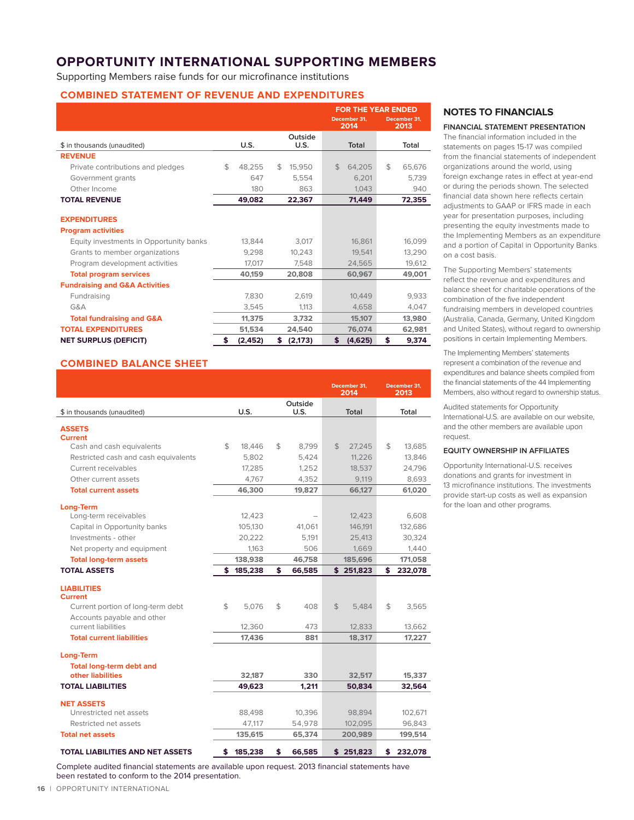## **OPPORTUNITY INTERNATIONAL SUPPORTING MEMBERS**

Supporting Members raise funds for our microfinance institutions

#### **COMBINED STATEMENT OF REVENUE AND EXPENDITURES**

|                                           |    |          |                 | <b>FOR THE YEAR ENDED</b> |                      |    |                      |  |  |
|-------------------------------------------|----|----------|-----------------|---------------------------|----------------------|----|----------------------|--|--|
|                                           |    |          |                 |                           | December 31.<br>2014 |    | December 31,<br>2013 |  |  |
| \$ in thousands (unaudited)               |    | U.S.     | Outside<br>U.S. |                           | Total                |    | Total                |  |  |
| <b>REVENUE</b>                            |    |          |                 |                           |                      |    |                      |  |  |
| Private contributions and pledges         | \$ | 48,255   | \$<br>15,950    | \$                        | 64,205               | \$ | 65,676               |  |  |
| Government grants                         |    | 647      | 5,554           |                           | 6.201                |    | 5,739                |  |  |
| Other Income                              |    | 180      | 863             |                           | 1,043                |    | 940                  |  |  |
| <b>TOTAL REVENUE</b>                      |    | 49,082   | 22,367          |                           | 71,449               |    | 72,355               |  |  |
|                                           |    |          |                 |                           |                      |    |                      |  |  |
| <b>EXPENDITURES</b>                       |    |          |                 |                           |                      |    |                      |  |  |
| <b>Program activities</b>                 |    |          |                 |                           |                      |    |                      |  |  |
| Equity investments in Opportunity banks   |    | 13,844   | 3,017           |                           | 16.861               |    | 16,099               |  |  |
| Grants to member organizations            |    | 9,298    | 10,243          |                           | 19.541               |    | 13,290               |  |  |
| Program development activities            |    | 17,017   | 7,548           |                           | 24,565               |    | 19,612               |  |  |
| <b>Total program services</b>             |    | 40.159   | 20,808          |                           | 60.967               |    | 49,001               |  |  |
| <b>Fundraising and G&amp;A Activities</b> |    |          |                 |                           |                      |    |                      |  |  |
| Fundraising                               |    | 7.830    | 2,619           |                           | 10,449               |    | 9,933                |  |  |
| G&A                                       |    | 3,545    | 1.113           |                           | 4,658                |    | 4,047                |  |  |
| <b>Total fundraising and G&amp;A</b>      |    | 11,375   | 3,732           |                           | 15,107               |    | 13,980               |  |  |
| <b>TOTAL EXPENDITURES</b>                 |    | 51,534   | 24,540          |                           | 76,074               |    | 62,981               |  |  |
| <b>NET SURPLUS (DEFICIT)</b>              | \$ | (2, 452) | \$<br>(2, 173)  | \$                        | (4,625)              | \$ | 9,374                |  |  |

#### **COMBINED BALANCE SHEET**

|                                      |     |         |              | December 31,<br>2014 |     | December 31.<br>2013 |
|--------------------------------------|-----|---------|--------------|----------------------|-----|----------------------|
|                                      |     |         | Outside      |                      |     |                      |
| \$ in thousands (unaudited)          |     | U.S.    | U.S.         | Total                |     | Total                |
| <b>ASSETS</b>                        |     |         |              |                      |     |                      |
| <b>Current</b>                       |     |         |              |                      |     |                      |
| Cash and cash equivalents            | \$  | 18,446  | \$<br>8.799  | \$<br>27.245         | \$  | 13,685               |
| Restricted cash and cash equivalents |     | 5,802   | 5,424        | 11.226               |     | 13,846               |
| Current receivables                  |     | 17,285  | 1,252        | 18,537               |     | 24,796               |
| Other current assets                 |     | 4.767   | 4.352        | 9.119                |     | 8.693                |
| <b>Total current assets</b>          |     | 46,300  | 19.827       | 66,127               |     | 61,020               |
|                                      |     |         |              |                      |     |                      |
| Long-Term<br>Long-term receivables   |     | 12,423  |              | 12,423               |     | 6.608                |
| Capital in Opportunity banks         |     | 105,130 | 41,061       | 146,191              |     | 132,686              |
| Investments - other                  |     | 20,222  | 5,191        | 25,413               |     | 30,324               |
| Net property and equipment           |     | 1.163   | 506          | 1.669                |     | 1.440                |
| <b>Total long-term assets</b>        |     | 138,938 | 46,758       | 185,696              |     | 171,058              |
| <b>TOTAL ASSETS</b>                  |     |         |              |                      |     |                      |
|                                      | \$. | 185,238 | \$<br>66,585 | \$251,823            | \$. | 232,078              |
| <b>LIABILITIES</b>                   |     |         |              |                      |     |                      |
| <b>Current</b>                       |     |         |              |                      |     |                      |
| Current portion of long-term debt    | \$  | 5.076   | \$<br>408    | \$<br>5.484          | \$  | 3.565                |
| Accounts payable and other           |     |         |              |                      |     |                      |
| current liabilities                  |     | 12,360  | 473          | 12,833               |     | 13,662               |
| <b>Total current liabilities</b>     |     | 17,436  | 881          | 18,317               |     | 17,227               |
|                                      |     |         |              |                      |     |                      |
| <b>Long-Term</b>                     |     |         |              |                      |     |                      |
| <b>Total long-term debt and</b>      |     |         |              |                      |     |                      |
| other liabilities                    |     | 32,187  | 330          | 32,517               |     | 15,337               |
| <b>TOTAL LIABILITIES</b>             |     | 49.623  | 1.211        | 50.834               |     | 32.564               |
| <b>NET ASSETS</b>                    |     |         |              |                      |     |                      |
| Unrestricted net assets              |     | 88,498  | 10,396       | 98,894               |     | 102,671              |
| Restricted net assets                |     | 47.117  | 54,978       | 102.095              |     | 96,843               |
| <b>Total net assets</b>              |     | 135,615 | 65,374       | 200,989              |     | 199,514              |

Complete audited financial statements are available upon request. 2013 financial statements have been restated to conform to the 2014 presentation.

**NOTES TO FINANCIALS** 

#### **FINANCIAL STATEMENT PRESENTATION**

The financial information included in the statements on pages 15-17 was compiled from the financial statements of independent organizations around the world, using foreign exchange rates in effect at year-end or during the periods shown. The selected financial data shown here reflects certain adjustments to GAAP or IFRS made in each year for presentation purposes, including presenting the equity investments made to the Implementing Members as an expenditure and a portion of Capital in Opportunity Banks on a cost basis.

The Supporting Members' statements reflect the revenue and expenditures and balance sheet for charitable operations of the combination of the five independent fundraising members in developed countries (Australia, Canada, Germany, United Kingdom and United States), without regard to ownership positions in certain Implementing Members.

The Implementing Members' statements represent a combination of the revenue and expenditures and balance sheets compiled from the financial statements of the 44 Implementing Members, also without regard to ownership status.

Audited statements for Opportunity International-U.S. are available on our website, and the other members are available upon request.

#### **EQUITY OWNERSHIP IN AFFILIATES**

Opportunity International-U.S. receives donations and grants for investment in 13 microfinance institutions. The investments provide start-up costs as well as expansion for the loan and other programs.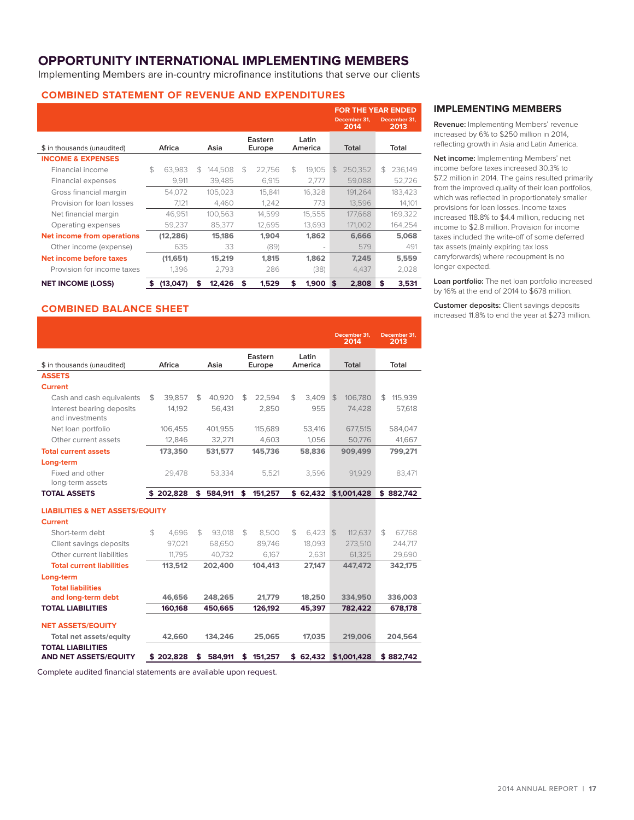## **OPPORTUNITY INTERNATIONAL IMPLEMENTING MEMBERS**

Implementing Members are in-country microfinance institutions that serve our clients

#### **COMBINED STATEMENT OF REVENUE AND EXPENDITURES**

|                              |        |           |                |         |                   |        |                  |        |               |                      | <b>FOR THE YEAR ENDED</b> |         |  |
|------------------------------|--------|-----------|----------------|---------|-------------------|--------|------------------|--------|---------------|----------------------|---------------------------|---------|--|
|                              |        |           |                |         |                   |        |                  |        |               | December 31.<br>2014 | December 31.<br>2013      |         |  |
| \$ in thousands (unaudited)  | Africa |           | Asia           |         | Eastern<br>Europe |        | Latin<br>America |        | <b>Total</b>  |                      |                           | Total   |  |
| <b>INCOME &amp; EXPENSES</b> |        |           |                |         |                   |        |                  |        |               |                      |                           |         |  |
| Financial income             | \$.    | 63.983    | $\mathfrak{F}$ | 144.508 | $\mathfrak{L}$    | 22.756 | \$               | 19.105 | $\mathcal{L}$ | 250.352              | $\mathfrak{L}$            | 236.149 |  |
| Financial expenses           |        | 9.911     |                | 39.485  |                   | 6.915  |                  | 2.777  |               | 59.088               |                           | 52.726  |  |
| Gross financial margin       |        | 54.072    |                | 105.023 |                   | 15.841 |                  | 16.328 |               | 191.264              |                           | 183.423 |  |
| Provision for loan losses    |        | 7.121     |                | 4,460   |                   | 1.242  |                  | 773    |               | 13,596               |                           | 14,101  |  |
| Net financial margin         |        | 46.951    |                | 100.563 |                   | 14.599 |                  | 15.555 |               | 177,668              |                           | 169,322 |  |
| Operating expenses           |        | 59.237    |                | 85.377  |                   | 12.695 |                  | 13.693 |               | 171,002              |                           | 164,254 |  |
| Net income from operations   |        | (12, 286) |                | 15,186  |                   | 1,904  |                  | 1.862  |               | 6.666                |                           | 5,068   |  |
| Other income (expense)       |        | 635       |                | 33      |                   | (89)   |                  |        |               | 579                  |                           | 491     |  |
| Net income before taxes      |        | (11,651)  |                | 15,219  |                   | 1.815  |                  | 1.862  |               | 7.245                |                           | 5,559   |  |
| Provision for income taxes   |        | 1.396     |                | 2.793   |                   | 286    |                  | (38)   |               | 4.437                |                           | 2,028   |  |
| <b>NET INCOME (LOSS)</b>     | \$     | (13,047)  | S              | 12.426  | \$                | 1.529  | \$               | 1.900  | \$            | 2.808                | \$                        | 3,531   |  |

#### **COMBINED BALANCE SHEET**

|                                                          |                |           |               |                |         |                  | December 31.<br>2014 |                | December 31.<br>2013 |
|----------------------------------------------------------|----------------|-----------|---------------|----------------|---------|------------------|----------------------|----------------|----------------------|
|                                                          |                |           |               |                | Eastern | Latin            |                      |                |                      |
| \$ in thousands (unaudited)                              |                | Africa    | Asia          |                | Europe  | America          | Total                |                | Total                |
| <b>ASSETS</b>                                            |                |           |               |                |         |                  |                      |                |                      |
| <b>Current</b>                                           |                |           |               |                |         |                  |                      |                |                      |
| Cash and cash equivalents                                | \$             | 39,857    | \$<br>40,920  | \$             | 22,594  | \$<br>3.409      | \$<br>106,780        | \$             | 115,939              |
| Interest bearing deposits<br>and investments             |                | 14.192    | 56.431        |                | 2.850   | 955              | 74.428               |                | 57,618               |
| Net loan portfolio                                       |                | 106,455   | 401,955       |                | 115,689 | 53,416           | 677,515              |                | 584,047              |
| Other current assets                                     |                | 12.846    | 32.271        |                | 4.603   | 1,056            | 50.776               |                | 41.667               |
| <b>Total current assets</b>                              |                | 173,350   | 531,577       |                | 145,736 | 58,836           | 909,499              |                | 799,271              |
| Long-term                                                |                |           |               |                |         |                  |                      |                |                      |
| Fixed and other<br>long-term assets                      |                | 29,478    | 53,334        |                | 5,521   | 3,596            | 91,929               |                | 83,471               |
| <b>TOTAL ASSETS</b>                                      |                | \$202,828 | \$584.911     | \$             | 151,257 | \$62.432         | \$1,001,428          |                | \$882.742            |
| <b>LIABILITIES &amp; NET ASSETS/EQUITY</b>               |                |           |               |                |         |                  |                      |                |                      |
| <b>Current</b>                                           |                |           |               |                |         |                  |                      |                |                      |
| Short-term debt                                          | $\mathfrak{L}$ | 4.696     | \$<br>93.018  | $\mathfrak{L}$ | 8.500   | \$<br>$6.423$ \$ | 112.637              | $\mathfrak{F}$ | 67.768               |
| Client savings deposits                                  |                | 97,021    | 68.650        |                | 89.746  | 18.093           | 273,510              |                | 244,717              |
| Other current liabilities                                |                | 11.795    | 40.732        |                | 6.167   | 2.631            | 61.325               |                | 29,690               |
| <b>Total current liabilities</b>                         |                | 113,512   | 202,400       |                | 104.413 | 27,147           | 447.472              |                | 342,175              |
| Long-term                                                |                |           |               |                |         |                  |                      |                |                      |
| <b>Total liabilities</b>                                 |                |           |               |                |         |                  |                      |                |                      |
| and long-term debt                                       |                | 46,656    | 248.265       |                | 21.779  | 18,250           | 334,950              |                | 336,003              |
| <b>TOTAL LIABILITIES</b>                                 |                | 160.168   | 450.665       |                | 126.192 | 45.397           | 782.422              |                | 678.178              |
| <b>NET ASSETS/EQUITY</b>                                 |                |           |               |                |         |                  |                      |                |                      |
| Total net assets/equity                                  |                | 42,660    | 134,246       |                | 25,065  | 17,035           | 219,006              |                | 204,564              |
| <b>TOTAL LIABILITIES</b><br><b>AND NET ASSETS/EQUITY</b> |                | \$202,828 | \$<br>584,911 | \$             | 151,257 | \$62.432         | \$1,001,428          |                | \$882.742            |

Complete audited financial statements are available upon request.

#### **IMPLEMENTING MEMBERS**

**Revenue:** Implementing Members' revenue increased by 6% to \$250 million in 2014, reflecting growth in Asia and Latin America.

**Net income:** Implementing Members' net income before taxes increased 30.3% to \$7.2 million in 2014. The gains resulted primarily from the improved quality of their loan portfolios, which was reflected in proportionately smaller provisions for loan losses. Income taxes increased 118.8% to \$4.4 million, reducing net income to \$2.8 million. Provision for income taxes included the write-off of some deferred tax assets (mainly expiring tax loss carryforwards) where recoupment is no longer expected.

**Loan portfolio:** The net loan portfolio increased by 16% at the end of 2014 to \$678 million.

**Customer deposits:** Client savings deposits increased 11.8% to end the year at \$273 million.